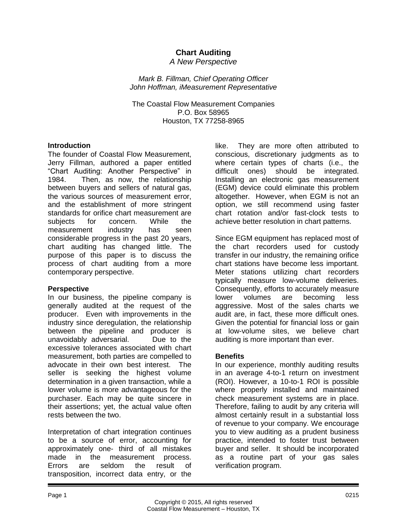# **Chart Auditing**

*A New Perspective*

*Mark B. Fillman, Chief Operating Officer John Hoffman, iMeasurement Representative*

The Coastal Flow Measurement Companies P.O. Box 58965 Houston, TX 77258-8965

#### **Introduction**

The founder of Coastal Flow Measurement, Jerry Fillman, authored a paper entitled "Chart Auditing: Another Perspective" in 1984. Then, as now, the relationship between buyers and sellers of natural gas, the various sources of measurement error, and the establishment of more stringent standards for orifice chart measurement are subjects for concern. While the measurement industry has seen considerable progress in the past 20 years, chart auditing has changed little. The purpose of this paper is to discuss the process of chart auditing from a more contemporary perspective.

### **Perspective**

In our business, the pipeline company is generally audited at the request of the producer. Even with improvements in the industry since deregulation, the relationship between the pipeline and producer is unavoidably adversarial. Due to the excessive tolerances associated with chart measurement, both parties are compelled to advocate in their own best interest. The seller is seeking the highest volume determination in a given transaction, while a lower volume is more advantageous for the purchaser. Each may be quite sincere in their assertions; yet, the actual value often rests between the two.

Interpretation of chart integration continues to be a source of error, accounting for approximately one- third of all mistakes made in the measurement process. Errors are seldom the result of transposition, incorrect data entry, or the

like. They are more often attributed to conscious, discretionary judgments as to where certain types of charts (i.e., the difficult ones) should be integrated. Installing an electronic gas measurement (EGM) device could eliminate this problem altogether. However, when EGM is not an option, we still recommend using faster chart rotation and/or fast-clock tests to achieve better resolution in chart patterns.

Since EGM equipment has replaced most of the chart recorders used for custody transfer in our industry, the remaining orifice chart stations have become less important. Meter stations utilizing chart recorders typically measure low-volume deliveries. Consequently, efforts to accurately measure lower volumes are becoming less aggressive. Most of the sales charts we audit are, in fact, these more difficult ones. Given the potential for financial loss or gain at low-volume sites, we believe chart auditing is more important than ever.

### **Benefits**

In our experience, monthly auditing results in an average 4-to-1 return on investment (ROI). However, a 10-to-1 ROI is possible where properly installed and maintained check measurement systems are in place. Therefore, failing to audit by any criteria will almost certainly result in a substantial loss of revenue to your company. We encourage you to view auditing as a prudent business practice, intended to foster trust between buyer and seller. It should be incorporated as a routine part of your gas sales verification program.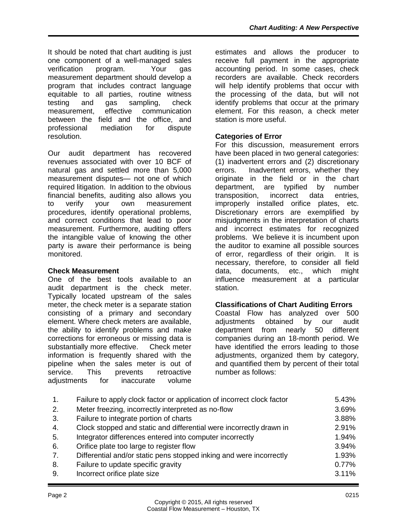It should be noted that chart auditing is just one component of a well-managed sales verification program. Your gas measurement department should develop a program that includes contract language equitable to all parties, routine witness testing and gas sampling, check measurement, effective communication between the field and the office, and professional mediation for dispute resolution.

Our audit department has recovered revenues associated with over 10 BCF of natural gas and settled more than 5,000 measurement disputes— not one of which required litigation. In addition to the obvious financial benefits, auditing also allows you to verify your own measurement procedures, identify operational problems, and correct conditions that lead to poor measurement. Furthermore, auditing offers the intangible value of knowing the other party is aware their performance is being monitored.

### **Check Measurement**

One of the best tools available to an audit department is the check meter. Typically located upstream of the sales meter, the check meter is a separate station consisting of a primary and secondary element. Where check meters are available, the ability to identify problems and make corrections for erroneous or missing data is substantially more effective. Check meter information is frequently shared with the pipeline when the sales meter is out of service. This prevents retroactive adjustments for inaccurate volume

estimates and allows the producer to receive full payment in the appropriate accounting period. In some cases, check recorders are available. Check recorders will help identify problems that occur with the processing of the data, but will not identify problems that occur at the primary element. For this reason, a check meter station is more useful.

## **Categories of Error**

For this discussion, measurement errors have been placed in two general categories: (1) inadvertent errors and (2) discretionary errors. Inadvertent errors, whether they originate in the field or in the chart department, are typified by number transposition, incorrect data entries, improperly installed orifice plates, etc. Discretionary errors are exemplified by misjudgments in the interpretation of charts and incorrect estimates for recognized problems. We believe it is incumbent upon the auditor to examine all possible sources of error, regardless of their origin. It is necessary, therefore, to consider all field data, documents, etc., which might influence measurement at a particular station.

### **Classifications of Chart Auditing Errors**

Coastal Flow has analyzed over 500 adjustments obtained by our audit<br>department from nearly 50 different department from nearly companies during an 18-month period. We have identified the errors leading to those adjustments, organized them by category, and quantified them by percent of their total number as follows:

| 1. | Failure to apply clock factor or application of incorrect clock factor | 5.43% |
|----|------------------------------------------------------------------------|-------|
| 2. | Meter freezing, incorrectly interpreted as no-flow                     | 3.69% |
| 3. | Failure to integrate portion of charts                                 | 3.88% |
| 4. | Clock stopped and static and differential were incorrectly drawn in    | 2.91% |
| 5. | Integrator differences entered into computer incorrectly               | 1.94% |
| 6. | Orifice plate too large to register flow                               | 3.94% |
| 7. | Differential and/or static pens stopped inking and were incorrectly    | 1.93% |
| 8. | Failure to update specific gravity                                     | 0.77% |
| 9. | Incorrect orifice plate size                                           | 3.11% |